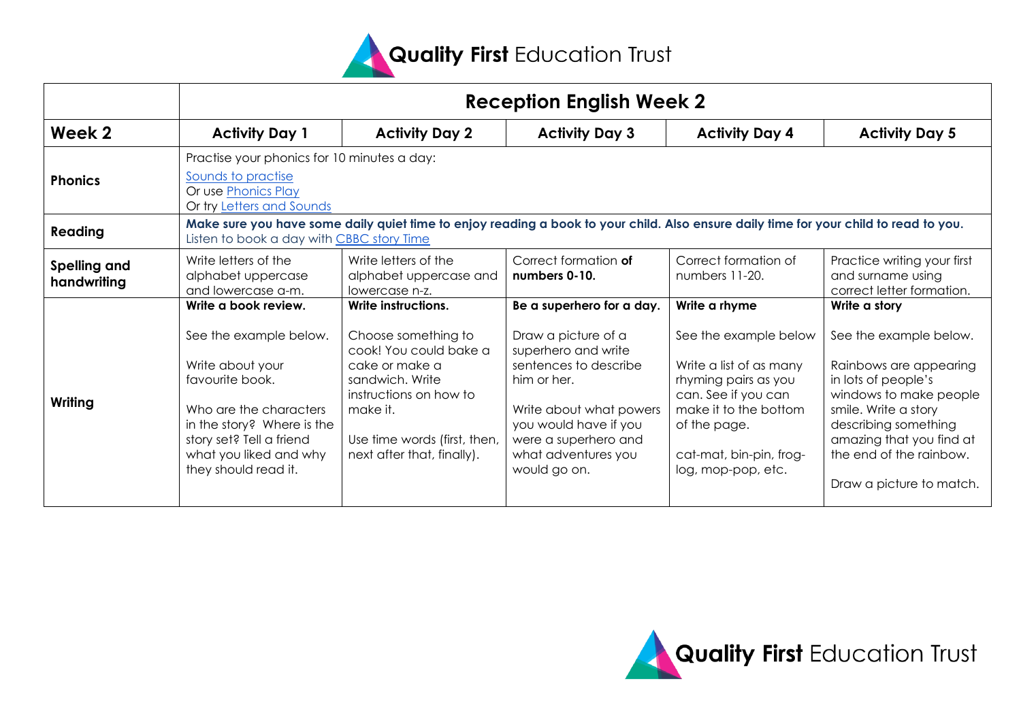

|                                    | <b>Reception English Week 2</b>                                                                                                                                                                     |                                                                                                                                                                                        |                                                                                                                                                                                                       |                                                                                                                                                                                           |                                                                                                                                                                                                                                      |  |  |  |
|------------------------------------|-----------------------------------------------------------------------------------------------------------------------------------------------------------------------------------------------------|----------------------------------------------------------------------------------------------------------------------------------------------------------------------------------------|-------------------------------------------------------------------------------------------------------------------------------------------------------------------------------------------------------|-------------------------------------------------------------------------------------------------------------------------------------------------------------------------------------------|--------------------------------------------------------------------------------------------------------------------------------------------------------------------------------------------------------------------------------------|--|--|--|
| Week 2                             | <b>Activity Day 1</b>                                                                                                                                                                               | <b>Activity Day 2</b>                                                                                                                                                                  | <b>Activity Day 3</b>                                                                                                                                                                                 | <b>Activity Day 4</b>                                                                                                                                                                     | <b>Activity Day 5</b>                                                                                                                                                                                                                |  |  |  |
| <b>Phonics</b>                     | Practise your phonics for 10 minutes a day:<br>Sounds to practise<br>Or use Phonics Play<br>Or try Letters and Sounds                                                                               |                                                                                                                                                                                        |                                                                                                                                                                                                       |                                                                                                                                                                                           |                                                                                                                                                                                                                                      |  |  |  |
| Reading                            | Make sure you have some daily quiet time to enjoy reading a book to your child. Also ensure daily time for your child to read to you.<br>Listen to book a day with CBBC story Time                  |                                                                                                                                                                                        |                                                                                                                                                                                                       |                                                                                                                                                                                           |                                                                                                                                                                                                                                      |  |  |  |
| <b>Spelling and</b><br>handwriting | Write letters of the<br>alphabet uppercase<br>and lowercase a-m.                                                                                                                                    | Write letters of the<br>alphabet uppercase and<br>lowercase n-z.                                                                                                                       | Correct formation of<br>numbers 0-10.                                                                                                                                                                 | Correct formation of<br>numbers 11-20.                                                                                                                                                    | Practice writing your first<br>and surname using<br>correct letter formation.                                                                                                                                                        |  |  |  |
|                                    | Write a book review.                                                                                                                                                                                | Write instructions.                                                                                                                                                                    | Be a superhero for a day.                                                                                                                                                                             | Write a rhyme                                                                                                                                                                             | Write a story                                                                                                                                                                                                                        |  |  |  |
| Writing                            | See the example below.<br>Write about your<br>favourite book.<br>Who are the characters<br>in the story? Where is the<br>story set? Tell a friend<br>what you liked and why<br>they should read it. | Choose something to<br>cook! You could bake a<br>cake or make a<br>sandwich, Write<br>instructions on how to<br>make it.<br>Use time words (first, then,<br>next after that, finally). | Draw a picture of a<br>superhero and write<br>sentences to describe<br>him or her.<br>Write about what powers<br>you would have if you<br>were a superhero and<br>what adventures you<br>would go on. | See the example below<br>Write a list of as many<br>rhyming pairs as you<br>can. See if you can<br>make it to the bottom<br>of the page.<br>cat-mat, bin-pin, frog-<br>log, mop-pop, etc. | See the example below.<br>Rainbows are appearing<br>in lots of people's<br>windows to make people<br>smile. Write a story<br>describing something<br>amazing that you find at<br>the end of the rainbow.<br>Draw a picture to match. |  |  |  |

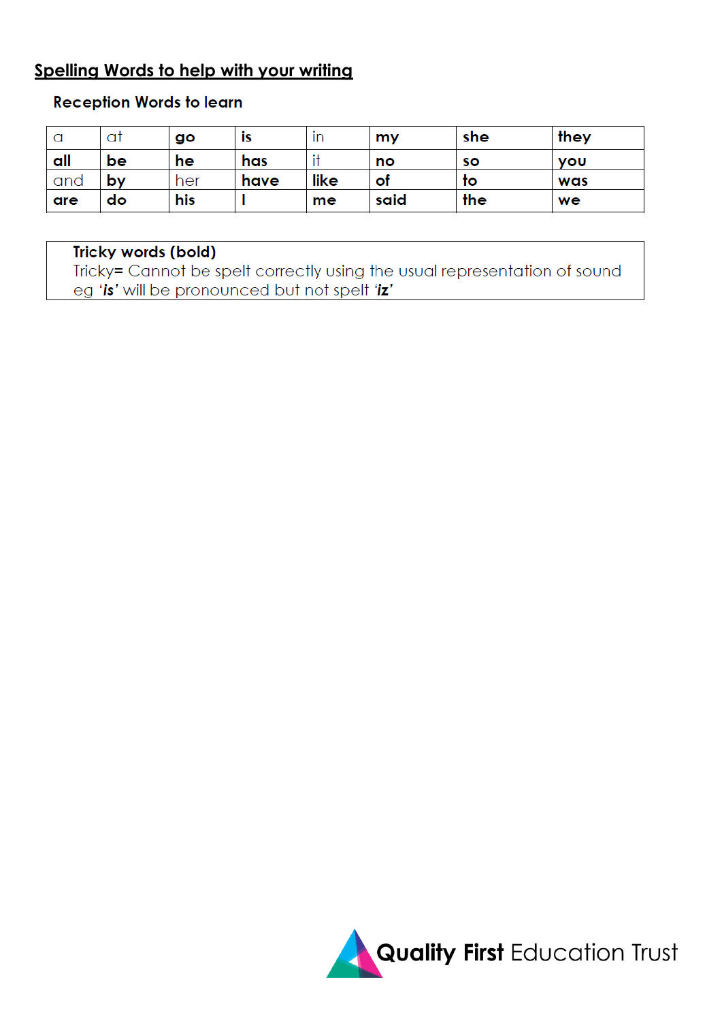#### **Spelling Words to help with your writing**

#### **Reception Words to learn**

| a   | a1 | go  | ĨS   | ın   | my   | she | they       |
|-----|----|-----|------|------|------|-----|------------|
| all | be | he  | has  |      | no   | so  | <b>VOU</b> |
| and | by | her | have | like | of   | to  | was        |
| are | do | his |      | me   | said | the | we         |

#### Tricky words (bold)

Tricky= Cannot be spelt correctly using the usual representation of sound eg 'is' will be pronounced but not spelt 'iz'

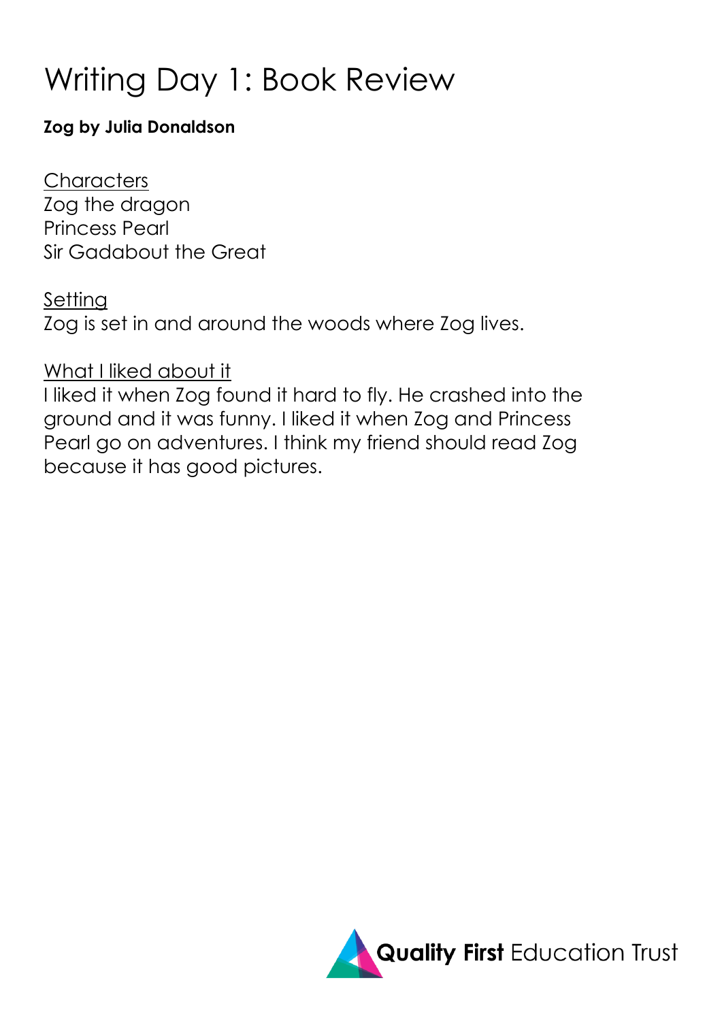## Writing Day 1: Book Review

### **Zog by Julia Donaldson**

**Characters** Zog the dragon Princess Pearl Sir Gadabout the Great

### Setting

Zog is set in and around the woods where Zog lives.

## What I liked about it

I liked it when Zog found it hard to fly. He crashed into the ground and it was funny. I liked it when Zog and Princess Pearl go on adventures. I think my friend should read Zog because it has good pictures.

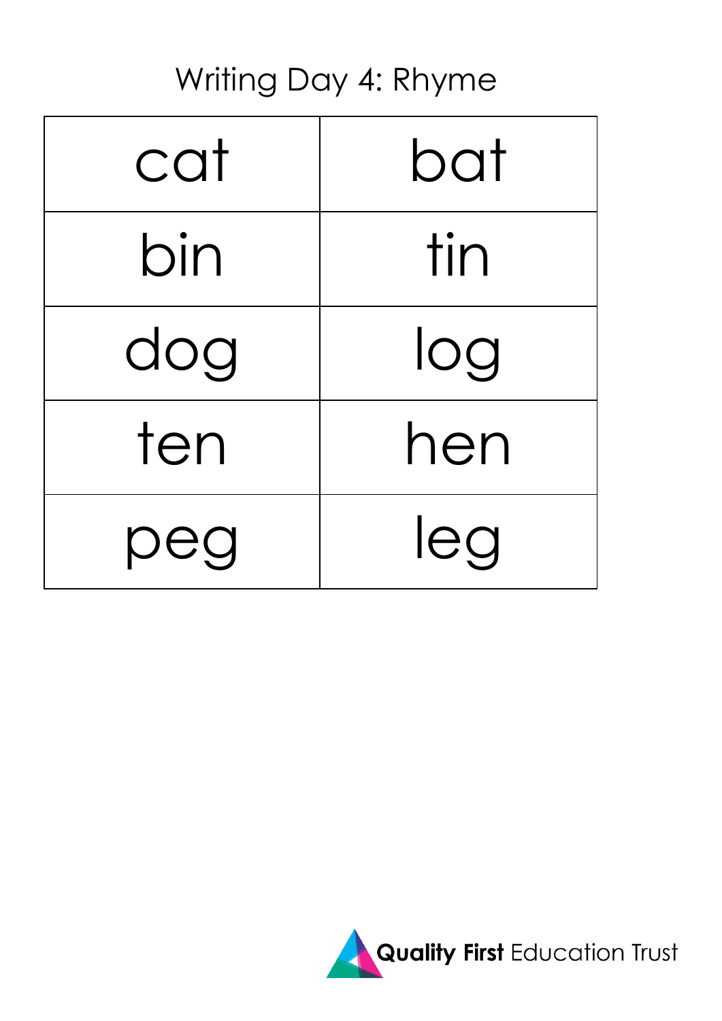## Writing Day 4: Rhyme

| cat | bat |  |
|-----|-----|--|
| bin | tin |  |
| dog | log |  |
| ten | hen |  |
| peg | leg |  |